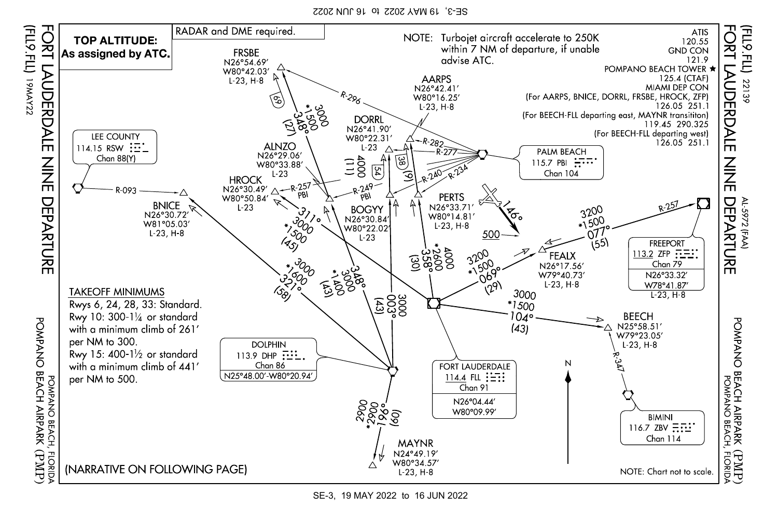SE-3, 19 MAY 2022 to 16 JUN 2022



SE-3, 19 MAY 2022 to 16 JUN 2022